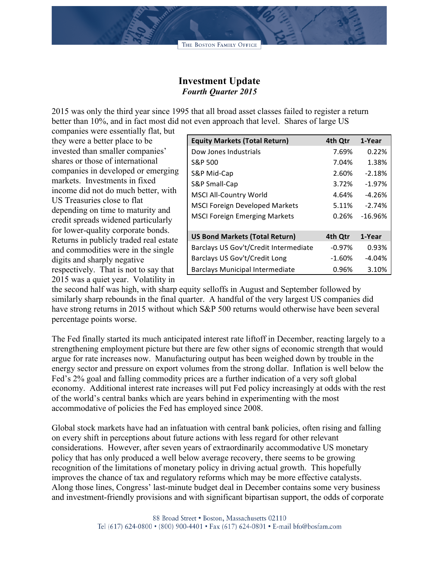## **Investment Update** *Fourth Quarter 2015*

2015 was only the third year since 1995 that all broad asset classes failed to register a return better than 10%, and in fact most did not even approach that level. Shares of large US

companies were essentially flat, but they were a better place to be invested than smaller companies' shares or those of international companies in developed or emerging markets. Investments in fixed income did not do much better, with US Treasuries close to flat depending on time to maturity and credit spreads widened particularly for lower-quality corporate bonds. Returns in publicly traded real estate and commodities were in the single digits and sharply negative respectively. That is not to say that 2015 was a quiet year. Volatility in

| <b>Equity Markets (Total Return)</b>   | 4th Qtr   | 1-Year    |
|----------------------------------------|-----------|-----------|
| Dow Jones Industrials                  | 7.69%     | 0.22%     |
| S&P 500                                | 7.04%     | 1.38%     |
| S&P Mid-Cap                            | 2.60%     | $-2.18%$  |
| S&P Small-Cap                          | 3.72%     | $-1.97%$  |
| <b>MSCI All-Country World</b>          | 4.64%     | $-4.26%$  |
| <b>MSCI Foreign Developed Markets</b>  | 5.11%     | $-2.74%$  |
| <b>MSCI Foreign Emerging Markets</b>   | 0.26%     | $-16.96%$ |
|                                        |           |           |
| <b>US Bond Markets (Total Return)</b>  | 4th Qtr   | 1-Year    |
| Barclays US Gov't/Credit Intermediate  | $-0.97\%$ | 0.93%     |
| Barclays US Gov't/Credit Long          | $-1.60%$  | $-4.04%$  |
| <b>Barclays Municipal Intermediate</b> | 0.96%     | 3.10%     |

the second half was high, with sharp equity selloffs in August and September followed by similarly sharp rebounds in the final quarter. A handful of the very largest US companies did have strong returns in 2015 without which S&P 500 returns would otherwise have been several percentage points worse.

The Fed finally started its much anticipated interest rate liftoff in December, reacting largely to a strengthening employment picture but there are few other signs of economic strength that would argue for rate increases now. Manufacturing output has been weighed down by trouble in the energy sector and pressure on export volumes from the strong dollar. Inflation is well below the Fed's 2% goal and falling commodity prices are a further indication of a very soft global economy. Additional interest rate increases will put Fed policy increasingly at odds with the rest of the world's central banks which are years behind in experimenting with the most accommodative of policies the Fed has employed since 2008.

Global stock markets have had an infatuation with central bank policies, often rising and falling on every shift in perceptions about future actions with less regard for other relevant considerations. However, after seven years of extraordinarily accommodative US monetary policy that has only produced a well below average recovery, there seems to be growing recognition of the limitations of monetary policy in driving actual growth. This hopefully improves the chance of tax and regulatory reforms which may be more effective catalysts. Along those lines, Congress' last-minute budget deal in December contains some very business and investment-friendly provisions and with significant bipartisan support, the odds of corporate